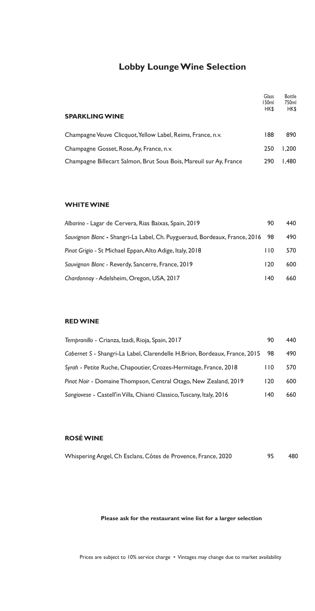# **Lobby Lounge Wine Selection**

|                                                                    | Glass<br>150ml | <b>Bottle</b><br>750ml |
|--------------------------------------------------------------------|----------------|------------------------|
| <b>SPARKLING WINE</b>                                              | HK\$           | <b>HKS</b>             |
| Champagne Veuve Clicquot, Yellow Label, Reims, France, n.v.        | 188            | 890                    |
| Champagne Gosset, Rose, Ay, France, n.v.                           | 250            | 1.200                  |
| Champagne Billecart Salmon, Brut Sous Bois, Mareuil sur Ay, France | 290            | 1.480                  |

### **WHITE WINE**

| Albarino - Lagar de Cervera, Rias Baixas, Spain, 2019                         | 90  | 440 |
|-------------------------------------------------------------------------------|-----|-----|
| Sauvignon Blanc - Shangri-La Label, Ch. Puygueraud, Bordeaux, France, 2016 98 |     | 490 |
| Pinot Grigio - St Michael Eppan, Alto Adige, Italy, 2018                      | 110 | 570 |
| Sauvignon Blanc - Reverdy, Sancerre, France, 2019                             | 120 | 600 |
| Chardonnay - Adelsheim, Oregon, USA, 2017                                     | 140 | 660 |

### **RED WINE**

| Tempranillo - Crianza, Izadi, Rioja, Spain, 2017                           | 90   | 440 |
|----------------------------------------------------------------------------|------|-----|
| Cabernet S - Shangri-La Label, Clarendelle H.Brion, Bordeaux, France, 2015 | - 98 | 490 |
| Syrah - Petite Ruche, Chapoutier, Crozes-Hermitage, France, 2018           | 110  | 570 |
| Pinot Noir - Domaine Thompson, Central Otago, New Zealand, 2019            | 120  | 600 |
| Sangiovese - Castell'in Villa, Chianti Classico, Tuscany, Italy, 2016      | 140  | 660 |

### **ROSÉ WINE**

| Whispering Angel, Ch Esclans, Côtes de Provence, France, 2020 |  |  |  |  |  |  | 480 |
|---------------------------------------------------------------|--|--|--|--|--|--|-----|
|---------------------------------------------------------------|--|--|--|--|--|--|-----|

### **Please ask for the restaurant wine list for a larger selection**

Prices are subject to 10% service charge • Vintages may change due to market availability